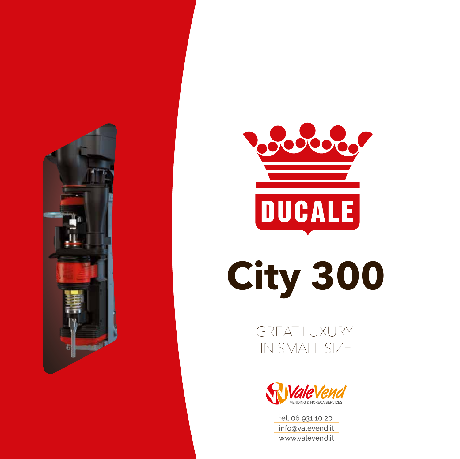



## **City 300**

GREAT LUXURY IN SMALL SIZE



tel. 06 931 10 20 info@valevend.it www.valevend.it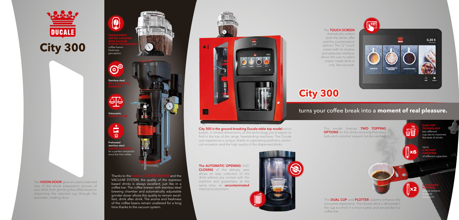



dramatically widens both the drinks offer and the customization options. The 12'' touch screen with its intuitive and attractive interface, allows the user to select a tailor made drink in only few seconds.



The **VISION DOOR** gives an unprecedented view of the whole preparation process of your drink, from grinding the coffee beans to dispensing the selected cup through the automatic, rotating door.

The **AUTOMATIC OPENING** AND **CLOSING** of the delivery area allows an easy collection of the drink without any contact with the machine and guarantees, at the same time, an **uncontaminated** internal environment.



## The TOUCH SCREEN

Thanks to the Ducale COFFEE BREWER and the VACUUM SYSTEM, the quality of the espresso based drinks is always excellent, just like in a coffee bar. The coffee brewer with stainless steel brewing chamber and automatically adjustable grinder-doser allows the quality to remain excellent, drink after drink. The aroma and freshness of the coffee beans remain unaltered for a long time thanks to the vacuum system.



City 300 is the ground-breaking Ducale table top model which boasts, in limited dimensions, all the technology you'd expect to find in the top of the range, freestanding machines. The Ducale user experience is unique, thanks to captivating aesthetics, technical innovation and the high quality of the dispensed drinks.

## turns your coffee break into a **moment of real pleasure.**